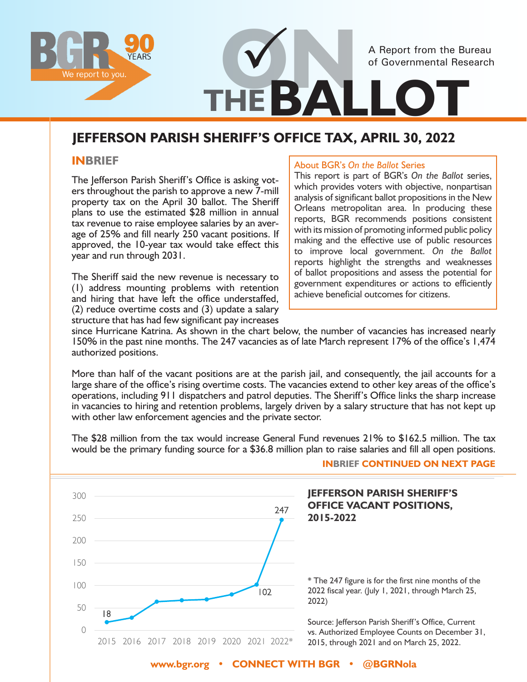

# **JEFFERSON PARISH SHERIFF'S OFFICE TAX, APRIL 30, 2022**

#### **INBRIEF**

The Jefferson Parish Sheriff's Office is asking voters throughout the parish to approve a new 7-mill property tax on the April 30 ballot. The Sheriff plans to use the estimated \$28 million in annual tax revenue to raise employee salaries by an average of 25% and fill nearly 250 vacant positions. If approved, the 10-year tax would take effect this year and run through 2031.

The Sheriff said the new revenue is necessary to (1) address mounting problems with retention and hiring that have left the office understaffed, (2) reduce overtime costs and (3) update a salary structure that has had few significant pay increases

#### About BGR's *On the Ballot* Series

This report is part of BGR's *On the Ballot* series, which provides voters with objective, nonpartisan analysis of significant ballot propositions in the New Orleans metropolitan area. In producing these reports, BGR recommends positions consistent with its mission of promoting informed public policy making and the effective use of public resources to improve local government. *On the Ballot*  reports highlight the strengths and weaknesses of ballot propositions and assess the potential for government expenditures or actions to efficiently achieve beneficial outcomes for citizens.

since Hurricane Katrina. As shown in the chart below, the number of vacancies has increased nearly 150% in the past nine months. The 247 vacancies as of late March represent 17% of the office's 1,474 authorized positions.

More than half of the vacant positions are at the parish jail, and consequently, the jail accounts for a large share of the office's rising overtime costs. The vacancies extend to other key areas of the office's operations, including 911 dispatchers and patrol deputies. The Sheriff's Office links the sharp increase in vacancies to hiring and retention problems, largely driven by a salary structure that has not kept up with other law enforcement agencies and the private sector.

The \$28 million from the tax would increase General Fund revenues 21% to \$162.5 million. The tax would be the primary funding source for a \$36.8 million plan to raise salaries and fill all open positions.



**INBRIEF CONTINUED ON NEXT PAGE**

**JEFFERSON PARISH SHERIFF'S** 

2022 fiscal year. (July 1, 2021, through March 25,

vs. Authorized Employee Counts on December 31, 2015, through 2021 and on March 25, 2022.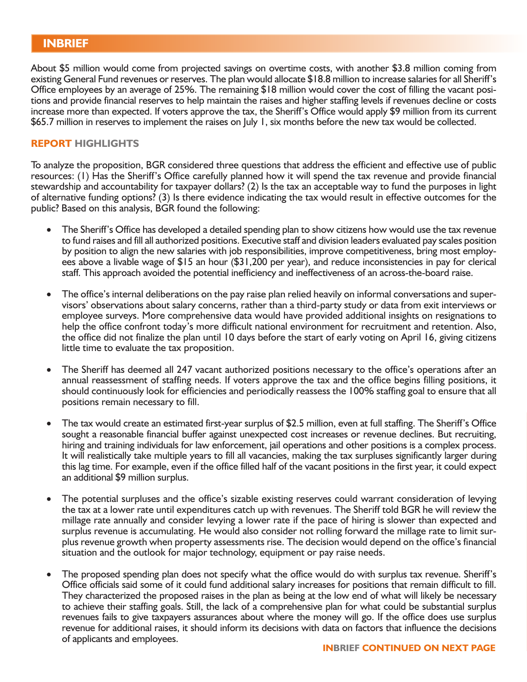About \$5 million would come from projected savings on overtime costs, with another \$3.8 million coming from existing General Fund revenues or reserves. The plan would allocate \$18.8 million to increase salaries for all Sheriff's Office employees by an average of 25%. The remaining \$18 million would cover the cost of filling the vacant positions and provide financial reserves to help maintain the raises and higher staffing levels if revenues decline or costs increase more than expected. If voters approve the tax, the Sheriff's Office would apply \$9 million from its current \$65.7 million in reserves to implement the raises on July 1, six months before the new tax would be collected.

#### **REPORT HIGHLIGHTS**

To analyze the proposition, BGR considered three questions that address the efficient and effective use of public resources: (1) Has the Sheriff's Office carefully planned how it will spend the tax revenue and provide financial stewardship and accountability for taxpayer dollars? (2) Is the tax an acceptable way to fund the purposes in light of alternative funding options? (3) Is there evidence indicating the tax would result in effective outcomes for the public? Based on this analysis, BGR found the following:

- The Sheriff's Office has developed a detailed spending plan to show citizens how would use the tax revenue to fund raises and fill all authorized positions. Executive staff and division leaders evaluated pay scales position by position to align the new salaries with job responsibilities, improve competitiveness, bring most employees above a livable wage of \$15 an hour (\$31,200 per year), and reduce inconsistencies in pay for clerical staff. This approach avoided the potential inefficiency and ineffectiveness of an across-the-board raise.
- The office's internal deliberations on the pay raise plan relied heavily on informal conversations and supervisors' observations about salary concerns, rather than a third-party study or data from exit interviews or employee surveys. More comprehensive data would have provided additional insights on resignations to help the office confront today's more difficult national environment for recruitment and retention. Also, the office did not finalize the plan until 10 days before the start of early voting on April 16, giving citizens little time to evaluate the tax proposition.
- The Sheriff has deemed all 247 vacant authorized positions necessary to the office's operations after an annual reassessment of staffing needs. If voters approve the tax and the office begins filling positions, it should continuously look for efficiencies and periodically reassess the 100% staffing goal to ensure that all positions remain necessary to fill.
- The tax would create an estimated first-year surplus of \$2.5 million, even at full staffing. The Sheriff's Office sought a reasonable financial buffer against unexpected cost increases or revenue declines. But recruiting, hiring and training individuals for law enforcement, jail operations and other positions is a complex process. It will realistically take multiple years to fill all vacancies, making the tax surpluses significantly larger during this lag time. For example, even if the office filled half of the vacant positions in the first year, it could expect an additional \$9 million surplus.
- The potential surpluses and the office's sizable existing reserves could warrant consideration of levying the tax at a lower rate until expenditures catch up with revenues. The Sheriff told BGR he will review the millage rate annually and consider levying a lower rate if the pace of hiring is slower than expected and surplus revenue is accumulating. He would also consider not rolling forward the millage rate to limit surplus revenue growth when property assessments rise. The decision would depend on the office's financial situation and the outlook for major technology, equipment or pay raise needs.
- The proposed spending plan does not specify what the office would do with surplus tax revenue. Sheriff's Office officials said some of it could fund additional salary increases for positions that remain difficult to fill. They characterized the proposed raises in the plan as being at the low end of what will likely be necessary to achieve their staffing goals. Still, the lack of a comprehensive plan for what could be substantial surplus revenues fails to give taxpayers assurances about where the money will go. If the office does use surplus revenue for additional raises, it should inform its decisions with data on factors that influence the decisions of applicants and employees.